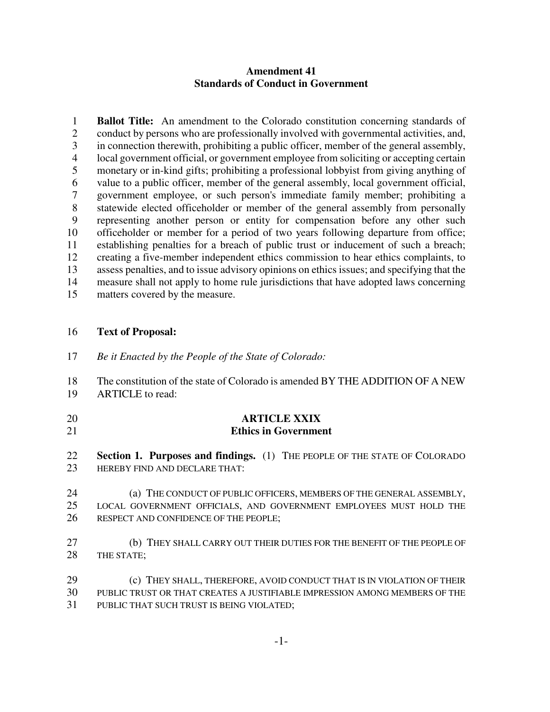## **Amendment 41 Standards of Conduct in Government**

 **Ballot Title:** An amendment to the Colorado constitution concerning standards of 2 conduct by persons who are professionally involved with governmental activities, and, in connection therewith, prohibiting a public officer, member of the general assembly, 4 local government official, or government employee from soliciting or accepting certain<br>5 monetary or in-kind gifts; prohibiting a professional lobbyist from giving anything of monetary or in-kind gifts; prohibiting a professional lobbyist from giving anything of value to a public officer, member of the general assembly, local government official, government employee, or such person's immediate family member; prohibiting a statewide elected officeholder or member of the general assembly from personally representing another person or entity for compensation before any other such officeholder or member for a period of two years following departure from office; establishing penalties for a breach of public trust or inducement of such a breach; creating a five-member independent ethics commission to hear ethics complaints, to assess penalties, and to issue advisory opinions on ethics issues; and specifying that the measure shall not apply to home rule jurisdictions that have adopted laws concerning matters covered by the measure.

- **Text of Proposal:**
- *Be it Enacted by the People of the State of Colorado:*
- The constitution of the state of Colorado is amended BY THE ADDITION OF A NEW ARTICLE to read:
- 
- 

## **ARTICLE XXIX**

## **Ethics in Government**

 **Section 1. Purposes and findings.** (1) THE PEOPLE OF THE STATE OF COLORADO HEREBY FIND AND DECLARE THAT:

 (a) THE CONDUCT OF PUBLIC OFFICERS, MEMBERS OF THE GENERAL ASSEMBLY, LOCAL GOVERNMENT OFFICIALS, AND GOVERNMENT EMPLOYEES MUST HOLD THE RESPECT AND CONFIDENCE OF THE PEOPLE;

 (b) THEY SHALL CARRY OUT THEIR DUTIES FOR THE BENEFIT OF THE PEOPLE OF 28 THE STATE:

**(c) THEY SHALL, THEREFORE, AVOID CONDUCT THAT IS IN VIOLATION OF THEIR**  PUBLIC TRUST OR THAT CREATES A JUSTIFIABLE IMPRESSION AMONG MEMBERS OF THE PUBLIC THAT SUCH TRUST IS BEING VIOLATED;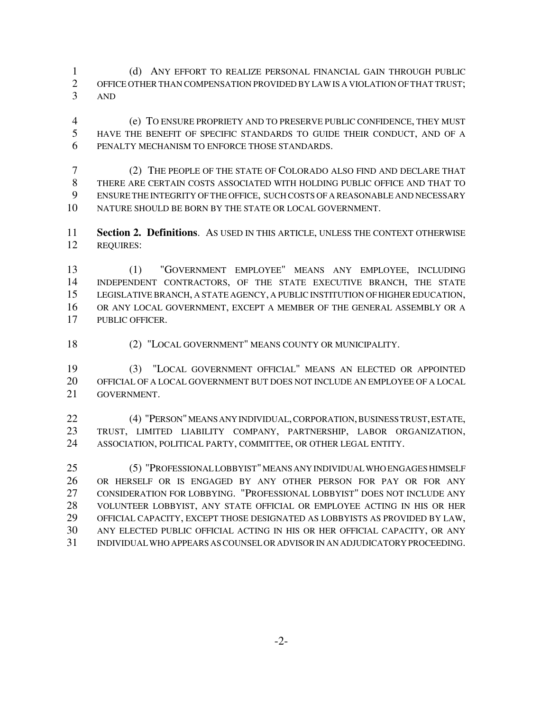(d) ANY EFFORT TO REALIZE PERSONAL FINANCIAL GAIN THROUGH PUBLIC OFFICE OTHER THAN COMPENSATION PROVIDED BY LAWIS A VIOLATION OF THAT TRUST; AND

 (e) TO ENSURE PROPRIETY AND TO PRESERVE PUBLIC CONFIDENCE, THEY MUST HAVE THE BENEFIT OF SPECIFIC STANDARDS TO GUIDE THEIR CONDUCT, AND OF A PENALTY MECHANISM TO ENFORCE THOSE STANDARDS.

 (2) THE PEOPLE OF THE STATE OF COLORADO ALSO FIND AND DECLARE THAT THERE ARE CERTAIN COSTS ASSOCIATED WITH HOLDING PUBLIC OFFICE AND THAT TO ENSURE THE INTEGRITY OF THE OFFICE, SUCH COSTS OF A REASONABLE AND NECESSARY NATURE SHOULD BE BORN BY THE STATE OR LOCAL GOVERNMENT.

 **Section 2. Definitions**. AS USED IN THIS ARTICLE, UNLESS THE CONTEXT OTHERWISE REQUIRES:

 (1) "GOVERNMENT EMPLOYEE" MEANS ANY EMPLOYEE, INCLUDING INDEPENDENT CONTRACTORS, OF THE STATE EXECUTIVE BRANCH, THE STATE LEGISLATIVE BRANCH, A STATE AGENCY, A PUBLIC INSTITUTION OF HIGHER EDUCATION, 16 OR ANY LOCAL GOVERNMENT, EXCEPT A MEMBER OF THE GENERAL ASSEMBLY OR A PUBLIC OFFICER.

(2) "LOCAL GOVERNMENT" MEANS COUNTY OR MUNICIPALITY.

 (3) "LOCAL GOVERNMENT OFFICIAL" MEANS AN ELECTED OR APPOINTED OFFICIAL OF A LOCAL GOVERNMENT BUT DOES NOT INCLUDE AN EMPLOYEE OF A LOCAL GOVERNMENT.

 (4) "PERSON"MEANSANYINDIVIDUAL,CORPORATION,BUSINESSTRUST,ESTATE, TRUST, LIMITED LIABILITY COMPANY, PARTNERSHIP, LABOR ORGANIZATION, ASSOCIATION, POLITICAL PARTY, COMMITTEE, OR OTHER LEGAL ENTITY.

 (5) "PROFESSIONALLOBBYIST"MEANSANYINDIVIDUALWHOENGAGESHIMSELF OR HERSELF OR IS ENGAGED BY ANY OTHER PERSON FOR PAY OR FOR ANY CONSIDERATION FOR LOBBYING. "PROFESSIONAL LOBBYIST" DOES NOT INCLUDE ANY VOLUNTEER LOBBYIST, ANY STATE OFFICIAL OR EMPLOYEE ACTING IN HIS OR HER OFFICIAL CAPACITY, EXCEPT THOSE DESIGNATED AS LOBBYISTS AS PROVIDED BY LAW, ANY ELECTED PUBLIC OFFICIAL ACTING IN HIS OR HER OFFICIAL CAPACITY, OR ANY INDIVIDUALWHO APPEARS ASCOUNSELOR ADVISORIN AN ADJUDICATORY PROCEEDING.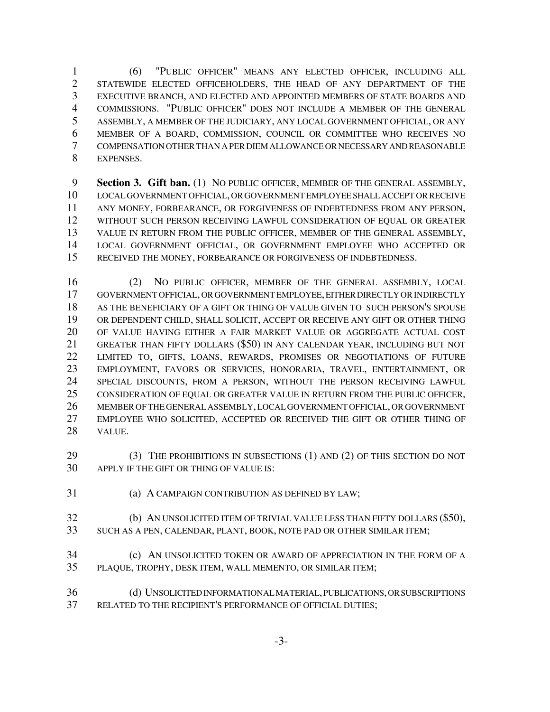(6) "PUBLIC OFFICER" MEANS ANY ELECTED OFFICER, INCLUDING ALL STATEWIDE ELECTED OFFICEHOLDERS, THE HEAD OF ANY DEPARTMENT OF THE EXECUTIVE BRANCH, AND ELECTED AND APPOINTED MEMBERS OF STATE BOARDS AND COMMISSIONS. "PUBLIC OFFICER" DOES NOT INCLUDE A MEMBER OF THE GENERAL ASSEMBLY, A MEMBER OF THE JUDICIARY, ANY LOCAL GOVERNMENT OFFICIAL, OR ANY MEMBER OF A BOARD, COMMISSION, COUNCIL OR COMMITTEE WHO RECEIVES NO COMPENSATION OTHERTHAN A PER DIEM ALLOWANCE OR NECESSARYANDREASONABLE EXPENSES.

 **Section 3. Gift ban.** (1) NO PUBLIC OFFICER, MEMBER OF THE GENERAL ASSEMBLY, LOCALGOVERNMENT OFFICIAL, OR GOVERNMENT EMPLOYEESHALLACCEPT ORRECEIVE ANY MONEY, FORBEARANCE, OR FORGIVENESS OF INDEBTEDNESS FROM ANY PERSON, WITHOUT SUCH PERSON RECEIVING LAWFUL CONSIDERATION OF EQUAL OR GREATER VALUE IN RETURN FROM THE PUBLIC OFFICER, MEMBER OF THE GENERAL ASSEMBLY, LOCAL GOVERNMENT OFFICIAL, OR GOVERNMENT EMPLOYEE WHO ACCEPTED OR RECEIVED THE MONEY, FORBEARANCE OR FORGIVENESS OF INDEBTEDNESS.

 (2) NO PUBLIC OFFICER, MEMBER OF THE GENERAL ASSEMBLY, LOCAL GOVERNMENT OFFICIAL, OR GOVERNMENT EMPLOYEE,EITHERDIRECTLY ORINDIRECTLY AS THE BENEFICIARY OF A GIFT OR THING OF VALUE GIVEN TO SUCH PERSON'S SPOUSE OR DEPENDENT CHILD, SHALL SOLICIT, ACCEPT OR RECEIVE ANY GIFT OR OTHER THING OF VALUE HAVING EITHER A FAIR MARKET VALUE OR AGGREGATE ACTUAL COST GREATER THAN FIFTY DOLLARS (\$50) IN ANY CALENDAR YEAR, INCLUDING BUT NOT LIMITED TO, GIFTS, LOANS, REWARDS, PROMISES OR NEGOTIATIONS OF FUTURE EMPLOYMENT, FAVORS OR SERVICES, HONORARIA, TRAVEL, ENTERTAINMENT, OR SPECIAL DISCOUNTS, FROM A PERSON, WITHOUT THE PERSON RECEIVING LAWFUL CONSIDERATION OF EQUAL OR GREATER VALUE IN RETURN FROM THE PUBLIC OFFICER, MEMBER OFTHE GENERALASSEMBLY,LOCALGOVERNMENT OFFICIAL, OR GOVERNMENT EMPLOYEE WHO SOLICITED, ACCEPTED OR RECEIVED THE GIFT OR OTHER THING OF VALUE.

- 29 (3) THE PROHIBITIONS IN SUBSECTIONS (1) AND (2) OF THIS SECTION DO NOT APPLY IF THE GIFT OR THING OF VALUE IS:
- (a) A CAMPAIGN CONTRIBUTION AS DEFINED BY LAW;
- (b) AN UNSOLICITED ITEM OF TRIVIAL VALUE LESS THAN FIFTY DOLLARS (\$50), SUCH AS A PEN, CALENDAR, PLANT, BOOK, NOTE PAD OR OTHER SIMILAR ITEM;
- (c) AN UNSOLICITED TOKEN OR AWARD OF APPRECIATION IN THE FORM OF A PLAQUE, TROPHY, DESK ITEM, WALL MEMENTO, OR SIMILAR ITEM;
- (d) UNSOLICITEDINFORMATIONALMATERIAL,PUBLICATIONS,ORSUBSCRIPTIONS RELATED TO THE RECIPIENT'S PERFORMANCE OF OFFICIAL DUTIES;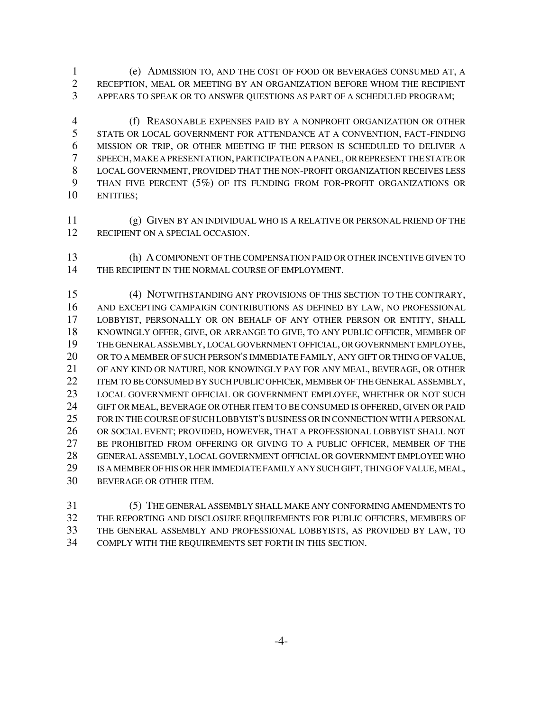(e) ADMISSION TO, AND THE COST OF FOOD OR BEVERAGES CONSUMED AT, A RECEPTION, MEAL OR MEETING BY AN ORGANIZATION BEFORE WHOM THE RECIPIENT APPEARS TO SPEAK OR TO ANSWER QUESTIONS AS PART OF A SCHEDULED PROGRAM;

 (f) REASONABLE EXPENSES PAID BY A NONPROFIT ORGANIZATION OR OTHER STATE OR LOCAL GOVERNMENT FOR ATTENDANCE AT A CONVENTION, FACT-FINDING MISSION OR TRIP, OR OTHER MEETING IF THE PERSON IS SCHEDULED TO DELIVER A SPEECH, MAKE A PRESENTATION, PARTICIPATE ON A PANEL, ORREPRESENT THESTATE OR LOCAL GOVERNMENT, PROVIDED THAT THE NON-PROFIT ORGANIZATION RECEIVES LESS THAN FIVE PERCENT (5%) OF ITS FUNDING FROM FOR-PROFIT ORGANIZATIONS OR ENTITIES;

 (g) GIVEN BY AN INDIVIDUAL WHO IS A RELATIVE OR PERSONAL FRIEND OF THE 12 RECIPIENT ON A SPECIAL OCCASION.

 (h) A COMPONENT OF THE COMPENSATION PAID OR OTHER INCENTIVE GIVEN TO 14 THE RECIPIENT IN THE NORMAL COURSE OF EMPLOYMENT.

 (4) NOTWITHSTANDING ANY PROVISIONS OF THIS SECTION TO THE CONTRARY, AND EXCEPTING CAMPAIGN CONTRIBUTIONS AS DEFINED BY LAW, NO PROFESSIONAL LOBBYIST, PERSONALLY OR ON BEHALF OF ANY OTHER PERSON OR ENTITY, SHALL KNOWINGLY OFFER, GIVE, OR ARRANGE TO GIVE, TO ANY PUBLIC OFFICER, MEMBER OF THE GENERAL ASSEMBLY, LOCAL GOVERNMENT OFFICIAL, OR GOVERNMENT EMPLOYEE, OR TO A MEMBER OF SUCH PERSON'S IMMEDIATE FAMILY, ANY GIFT OR THING OF VALUE, OF ANY KIND OR NATURE, NOR KNOWINGLY PAY FOR ANY MEAL, BEVERAGE, OR OTHER 22 ITEM TO BE CONSUMED BY SUCH PUBLIC OFFICER, MEMBER OF THE GENERAL ASSEMBLY, LOCAL GOVERNMENT OFFICIAL OR GOVERNMENT EMPLOYEE, WHETHER OR NOT SUCH GIFT OR MEAL, BEVERAGE OR OTHER ITEM TO BE CONSUMED IS OFFERED, GIVEN OR PAID FOR IN THE COURSE OF SUCH LOBBYIST'SBUSINESS ORIN CONNECTION WITH A PERSONAL OR SOCIAL EVENT; PROVIDED, HOWEVER, THAT A PROFESSIONAL LOBBYIST SHALL NOT BE PROHIBITED FROM OFFERING OR GIVING TO A PUBLIC OFFICER, MEMBER OF THE GENERAL ASSEMBLY, LOCAL GOVERNMENT OFFICIAL OR GOVERNMENT EMPLOYEE WHO IS A MEMBER OF HIS OR HERIMMEDIATE FAMILY ANY SUCH GIFT, THING OF VALUE, MEAL, BEVERAGE OR OTHER ITEM.

 (5) THE GENERAL ASSEMBLY SHALL MAKE ANY CONFORMING AMENDMENTS TO THE REPORTING AND DISCLOSURE REQUIREMENTS FOR PUBLIC OFFICERS, MEMBERS OF THE GENERAL ASSEMBLY AND PROFESSIONAL LOBBYISTS, AS PROVIDED BY LAW, TO COMPLY WITH THE REQUIREMENTS SET FORTH IN THIS SECTION.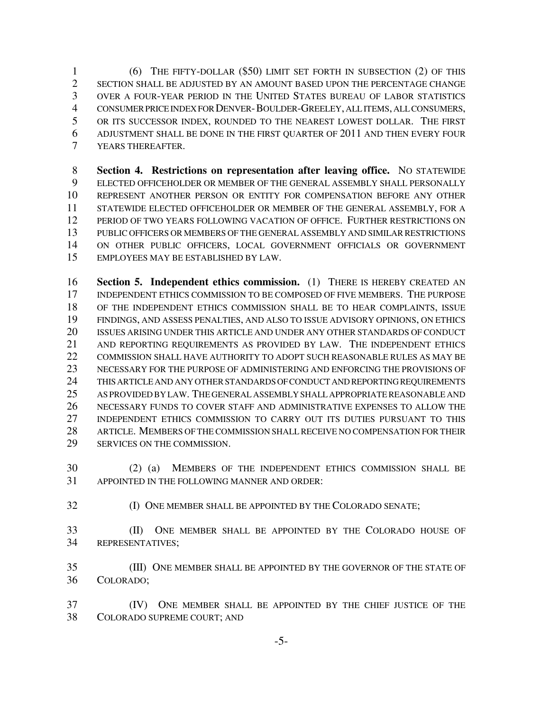(6) THE FIFTY-DOLLAR (\$50) LIMIT SET FORTH IN SUBSECTION (2) OF THIS SECTION SHALL BE ADJUSTED BY AN AMOUNT BASED UPON THE PERCENTAGE CHANGE OVER A FOUR-YEAR PERIOD IN THE UNITED STATES BUREAU OF LABOR STATISTICS CONSUMERPRICEINDEXFORDENVER-BOULDER-GREELEY, ALLITEMS, ALLCONSUMERS, OR ITS SUCCESSOR INDEX, ROUNDED TO THE NEAREST LOWEST DOLLAR. THE FIRST ADJUSTMENT SHALL BE DONE IN THE FIRST QUARTER OF 2011 AND THEN EVERY FOUR YEARS THEREAFTER.

**Section 4. Restrictions on representation after leaving office.** NO STATEWIDE<br>9 ELECTED OFFICEHOLDER OR MEMBER OF THE GENERAL ASSEMBLY SHALL PERSONALLY ELECTED OFFICEHOLDER OR MEMBER OF THE GENERAL ASSEMBLY SHALL PERSONALLY REPRESENT ANOTHER PERSON OR ENTITY FOR COMPENSATION BEFORE ANY OTHER STATEWIDE ELECTED OFFICEHOLDER OR MEMBER OF THE GENERAL ASSEMBLY, FOR A PERIOD OF TWO YEARS FOLLOWING VACATION OF OFFICE. FURTHER RESTRICTIONS ON PUBLIC OFFICERS OR MEMBERS OF THE GENERAL ASSEMBLY AND SIMILAR RESTRICTIONS ON OTHER PUBLIC OFFICERS, LOCAL GOVERNMENT OFFICIALS OR GOVERNMENT EMPLOYEES MAY BE ESTABLISHED BY LAW.

 **Section 5. Independent ethics commission.** (1) THERE IS HEREBY CREATED AN INDEPENDENT ETHICS COMMISSION TO BE COMPOSED OF FIVE MEMBERS. THE PURPOSE OF THE INDEPENDENT ETHICS COMMISSION SHALL BE TO HEAR COMPLAINTS, ISSUE FINDINGS, AND ASSESS PENALTIES, AND ALSO TO ISSUE ADVISORY OPINIONS, ON ETHICS ISSUES ARISING UNDER THIS ARTICLE AND UNDER ANY OTHER STANDARDS OF CONDUCT AND REPORTING REQUIREMENTS AS PROVIDED BY LAW. THE INDEPENDENT ETHICS COMMISSION SHALL HAVE AUTHORITY TO ADOPT SUCH REASONABLE RULES AS MAY BE NECESSARY FOR THE PURPOSE OF ADMINISTERING AND ENFORCING THE PROVISIONS OF 24 THIS ARTICLE AND ANY OTHER STANDARDS OF CONDUCT AND REPORTING REQUIREMENTS AS PROVIDED BY LAW. THE GENERAL ASSEMBLY SHALLAPPROPRIATEREASONABLE AND NECESSARY FUNDS TO COVER STAFF AND ADMINISTRATIVE EXPENSES TO ALLOW THE INDEPENDENT ETHICS COMMISSION TO CARRY OUT ITS DUTIES PURSUANT TO THIS ARTICLE. MEMBERS OF THE COMMISSION SHALLRECEIVE NO COMPENSATION FOR THEIR SERVICES ON THE COMMISSION.

 (2) (a) MEMBERS OF THE INDEPENDENT ETHICS COMMISSION SHALL BE APPOINTED IN THE FOLLOWING MANNER AND ORDER:

(I) ONE MEMBER SHALL BE APPOINTED BY THE COLORADO SENATE;

 (II) ONE MEMBER SHALL BE APPOINTED BY THE COLORADO HOUSE OF REPRESENTATIVES;

 (III) ONE MEMBER SHALL BE APPOINTED BY THE GOVERNOR OF THE STATE OF COLORADO;

 (IV) ONE MEMBER SHALL BE APPOINTED BY THE CHIEF JUSTICE OF THE COLORADO SUPREME COURT; AND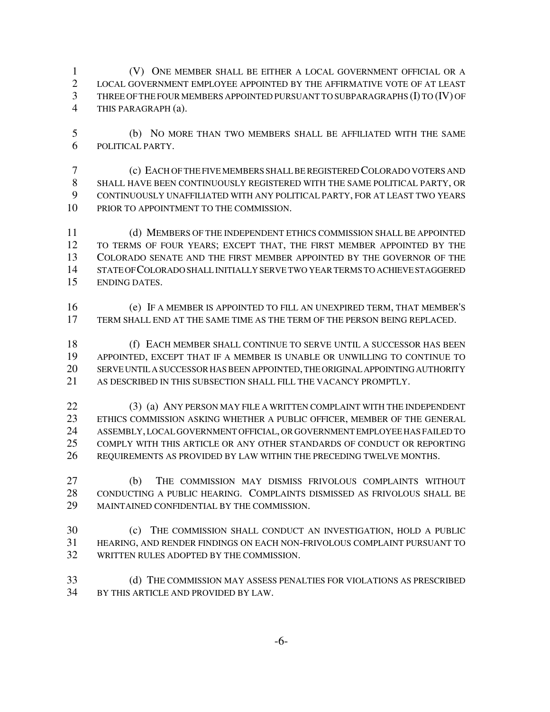(V) ONE MEMBER SHALL BE EITHER A LOCAL GOVERNMENT OFFICIAL OR A LOCAL GOVERNMENT EMPLOYEE APPOINTED BY THE AFFIRMATIVE VOTE OF AT LEAST THREE OF THE FOUR MEMBERS APPOINTED PURSUANT TO SUBPARAGRAPHS (I) TO (IV) OF THIS PARAGRAPH (a).

 (b) NO MORE THAN TWO MEMBERS SHALL BE AFFILIATED WITH THE SAME POLITICAL PARTY.

 (c) EACH OF THE FIVE MEMBERS SHALLBEREGISTERED COLORADO VOTERS AND SHALL HAVE BEEN CONTINUOUSLY REGISTERED WITH THE SAME POLITICAL PARTY, OR CONTINUOUSLY UNAFFILIATED WITH ANY POLITICAL PARTY, FOR AT LEAST TWO YEARS 10 PRIOR TO APPOINTMENT TO THE COMMISSION.

 (d) MEMBERS OF THE INDEPENDENT ETHICS COMMISSION SHALL BE APPOINTED TO TERMS OF FOUR YEARS; EXCEPT THAT, THE FIRST MEMBER APPOINTED BY THE COLORADO SENATE AND THE FIRST MEMBER APPOINTED BY THE GOVERNOR OF THE STATEOFCOLORADOSHALLINITIALLY SERVE TWO YEARTERMSTO ACHIEVESTAGGERED ENDING DATES.

 (e) IF A MEMBER IS APPOINTED TO FILL AN UNEXPIRED TERM, THAT MEMBER'S TERM SHALL END AT THE SAME TIME AS THE TERM OF THE PERSON BEING REPLACED.

**(f)** EACH MEMBER SHALL CONTINUE TO SERVE UNTIL A SUCCESSOR HAS BEEN APPOINTED, EXCEPT THAT IF A MEMBER IS UNABLE OR UNWILLING TO CONTINUE TO SERVEUNTILA SUCCESSOR HASBEEN APPOINTED,THEORIGINALAPPOINTINGAUTHORITY AS DESCRIBED IN THIS SUBSECTION SHALL FILL THE VACANCY PROMPTLY.

- (3) (a) ANY PERSON MAY FILE A WRITTEN COMPLAINT WITH THE INDEPENDENT ETHICS COMMISSION ASKING WHETHER A PUBLIC OFFICER, MEMBER OF THE GENERAL ASSEMBLY,LOCALGOVERNMENT OFFICIAL, OR GOVERNMENT EMPLOYEE HAS FAILED TO COMPLY WITH THIS ARTICLE OR ANY OTHER STANDARDS OF CONDUCT OR REPORTING REQUIREMENTS AS PROVIDED BY LAW WITHIN THE PRECEDING TWELVE MONTHS.
- (b) THE COMMISSION MAY DISMISS FRIVOLOUS COMPLAINTS WITHOUT CONDUCTING A PUBLIC HEARING. COMPLAINTS DISMISSED AS FRIVOLOUS SHALL BE MAINTAINED CONFIDENTIAL BY THE COMMISSION.
- (c) THE COMMISSION SHALL CONDUCT AN INVESTIGATION, HOLD A PUBLIC HEARING, AND RENDER FINDINGS ON EACH NON-FRIVOLOUS COMPLAINT PURSUANT TO WRITTEN RULES ADOPTED BY THE COMMISSION.
- (d) THE COMMISSION MAY ASSESS PENALTIES FOR VIOLATIONS AS PRESCRIBED BY THIS ARTICLE AND PROVIDED BY LAW.